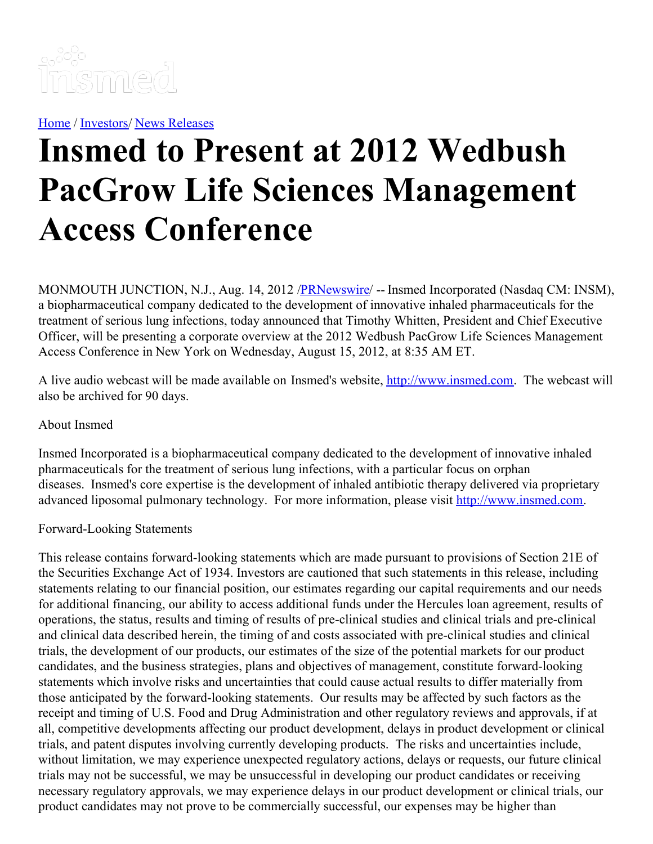

[Home](https://insmed.com/) / [Investors](https://investor.insmed.com/index)/ News [Releases](https://investor.insmed.com/releases)

## **Insmed to Present at 2012 Wedbush PacGrow Life Sciences Management Access Conference**

MONMOUTH JUNCTION, N.J., Aug. 14, 2012 /**PRNewswire/** -- Insmed Incorporated (Nasdaq CM: INSM), a biopharmaceutical company dedicated to the development of innovative inhaled pharmaceuticals for the treatment of serious lung infections, today announced that Timothy Whitten, President and Chief Executive Officer, will be presenting a corporate overview at the 2012 Wedbush PacGrow Life Sciences Management Access Conference in New York on Wednesday, August 15, 2012, at 8:35 AM ET.

A live audio webcast will be made available on Insmed's website, [http://www.insmed.com](http://www.insmed.com/). The webcast will also be archived for 90 days.

## About Insmed

Insmed Incorporated is a biopharmaceutical company dedicated to the development of innovative inhaled pharmaceuticals for the treatment of serious lung infections, with a particular focus on orphan diseases. Insmed's core expertise is the development of inhaled antibiotic therapy delivered via proprietary advanced liposomal pulmonary technology. For more information, please visit [http://www.insmed.com](http://www.insmed.com/).

## Forward-Looking Statements

This release contains forward-looking statements which are made pursuant to provisions of Section 21E of the Securities Exchange Act of 1934. Investors are cautioned that such statements in this release, including statements relating to our financial position, our estimates regarding our capital requirements and our needs for additional financing, our ability to access additional funds under the Hercules loan agreement, results of operations, the status, results and timing of results of pre-clinical studies and clinical trials and pre-clinical and clinical data described herein, the timing of and costs associated with pre-clinical studies and clinical trials, the development of our products, our estimates of the size of the potential markets for our product candidates, and the business strategies, plans and objectives of management, constitute forward-looking statements which involve risks and uncertainties that could cause actual results to differ materially from those anticipated by the forward-looking statements. Our results may be affected by such factors as the receipt and timing of U.S. Food and Drug Administration and other regulatory reviews and approvals, if at all, competitive developments affecting our product development, delays in product development or clinical trials, and patent disputes involving currently developing products. The risks and uncertainties include, without limitation, we may experience unexpected regulatory actions, delays or requests, our future clinical trials may not be successful, we may be unsuccessful in developing our product candidates or receiving necessary regulatory approvals, we may experience delays in our product development or clinical trials, our product candidates may not prove to be commercially successful, our expenses may be higher than